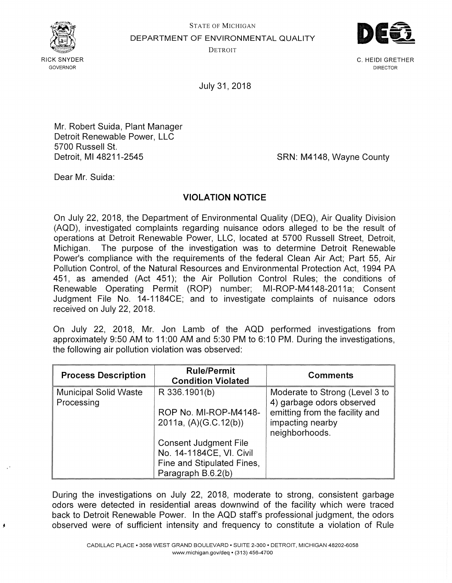

STATE OF MICHIGAN DEPARTMENT OF ENVIRONMENTAL QUALITY



**DETROIT** 

C. HEIDI GRETHER DIRECTOR

July 31, 2018

Mr. Robert Suida, Plant Manager Detroit Renewable Power, LLC 5700 Russell St. Detroit, Ml 48211-2545

SRN: M4148, Wayne County

Dear Mr. Suida:

## **VIOLATION NOTICE**

On July 22, 2018, the Department of Environmental Quality (DEQ}, Air Quality Division (AQD), investigated complaints regarding nuisance odors alleged to be the result of operations at Detroit Renewable Power, LLC, located at 5700 Russell Street, Detroit, Michigan. The purpose of the investigation was to determine Detroit Renewable Power's compliance with the requirements of the federal Clean Air Act; Part 55, Air Pollution Control, of the Natural Resources and Environmental Protection Act, 1994 PA 451, as amended (Act 451); the Air Pollution Control Rules; the conditions of Renewable Operating Permit (ROP) number; MI-ROP-M4148-2011a; Consent Judgment File No. 14-1184CE; and to investigate complaints of nuisance odors received on July 22, 2018.

On July 22, 2018, Mr. Jon Lamb of the AQD performed investigations from approximately 9:50 AM to 11 :00 AM and 5:30 PM to 6: 10 PM. During the investigations, the following air pollution violation was observed:

| <b>Process Description</b>                 | <b>Rule/Permit</b><br><b>Condition Violated</b> | <b>Comments</b>                                             |
|--------------------------------------------|-------------------------------------------------|-------------------------------------------------------------|
| <b>Municipal Solid Waste</b><br>Processing | R 336.1901(b)                                   | Moderate to Strong (Level 3 to<br>4) garbage odors observed |
|                                            | ROP No. MI-ROP-M4148-                           | emitting from the facility and                              |
|                                            | 2011a, $(A)(G.C.12(b))$                         | impacting nearby<br>neighborhoods.                          |
|                                            | <b>Consent Judgment File</b>                    |                                                             |
|                                            | No. 14-1184CE, VI. Civil                        |                                                             |
|                                            | Fine and Stipulated Fines,                      |                                                             |
|                                            | Paragraph B.6.2(b)                              |                                                             |

During the investigations on July 22, 2018, moderate to strong, consistent garbage odors were detected in residential areas downwind of the facility which were traced back to Detroit Renewable Power. In the AQD staff's professional judgment, the odors observed were of sufficient intensity and frequency to constitute a violation of Rule